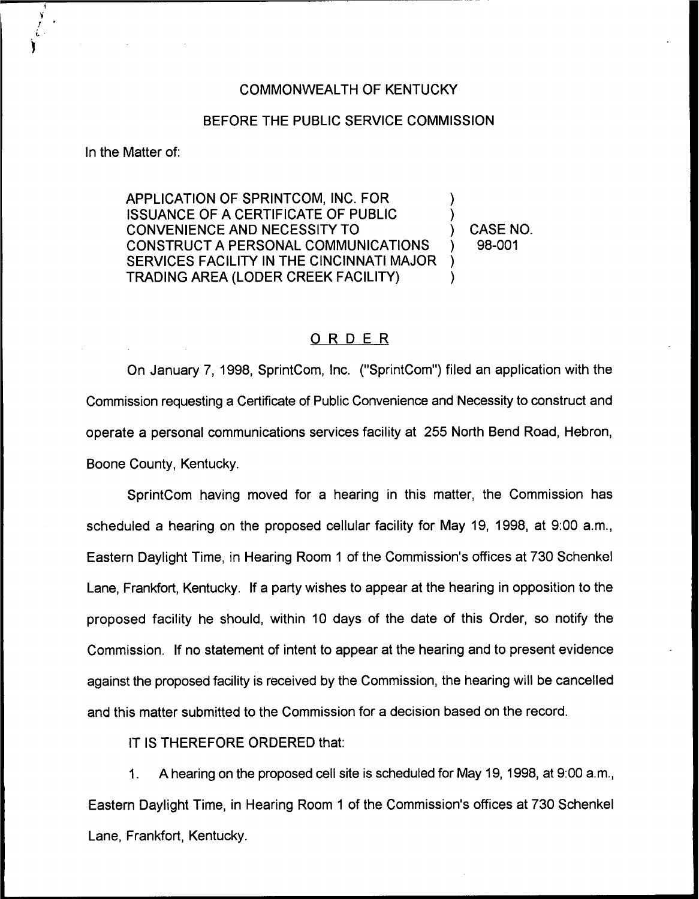## COMMONWEALTH OF KENTUCKY

## BEFORE THE PUBLIC SERVICE COMMISSION

In the Matter of:

APPLICATION OF SPRINTCOM, INC. FOR ISSUANCE OF A CERTIFICATE OF PUBLIC CONVENIENCE AND NECESSITY TO CONSTRUCT A PERSONAL COMMUNICATIONS SERVICES FACILITY IN THE CINCINNATI MAJOR TRADING AREA (LODER CREEK FACILITY) ) ) ) )

) CASE NO. ) 98-001

## ORDER

On January 7, 1998, SprintCom, Inc. ("SprintCom") filed an application with the Commission requesting a Certificate of Public Convenience and Necessity to construct and operate a personal communications services facility at 255 North Bend Road, Hebron, Boone County, Kentucky.

SprintCom having moved for a hearing in this matter, the Commission has scheduled a hearing on the proposed cellular facility for May 19, 1998, at 9:00 a.m., Eastern Daylight Time, in Hearing Room <sup>1</sup> of the Commission's offices at 730 Schenkel Lane, Frankfort, Kentucky. If a party wishes to appear at the hearing in opposition to the proposed facility he should, within 10 days of the date of this Order, so notify the Commission. If no statement of intent to appear at the hearing and to present evidence against the proposed facility is received by the Commission, the hearing will be cancelled and this matter submitted to the Commission for a decision based on the record.

IT IS THEREFORE ORDERED that:

 $1<sub>1</sub>$ A hearing on the proposed cell site is scheduled for May 19, 1998, at 9:00 a.m., Eastern Daylight Time, in Hearing Room <sup>1</sup> of the Commission's offices at 730 Schenkel Lane, Frankfort, Kentucky.